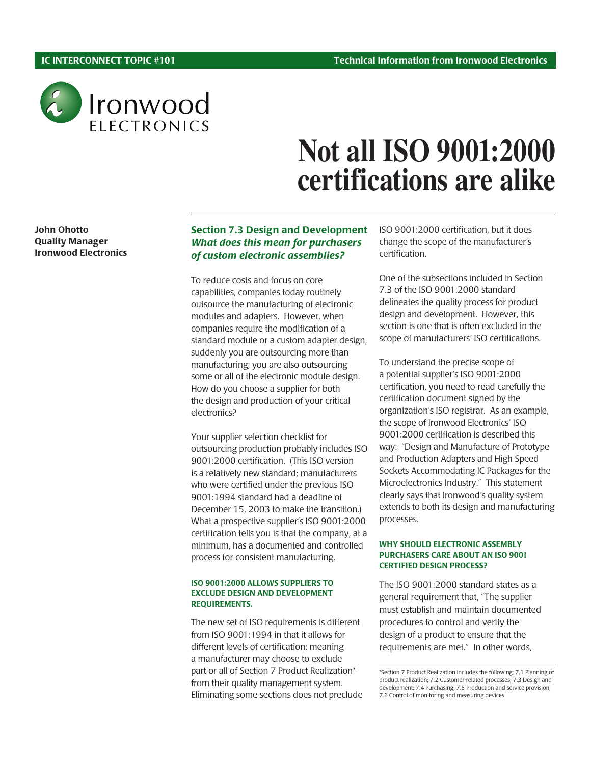

# **Not all ISO 9001:2000 certifications are alike**

John Ohotto Quality Manager Ironwood Electronics

# Section 7.3 Design and Development What does this mean for purchasers of custom electronic assemblies?

To reduce costs and focus on core capabilities, companies today routinely outsource the manufacturing of electronic modules and adapters. However, when companies require the modification of a standard module or a custom adapter design, suddenly you are outsourcing more than manufacturing; you are also outsourcing some or all of the electronic module design. How do you choose a supplier for both the design and production of your critical electronics?

Your supplier selection checklist for outsourcing production probably includes ISO 9001:2000 certification. (This ISO version is a relatively new standard; manufacturers who were certified under the previous ISO 9001:1994 standard had a deadline of December 15, 2003 to make the transition.) What a prospective supplier's ISO 9001:2000 certification tells you is that the company, at a minimum, has a documented and controlled process for consistent manufacturing.

#### ISO 9001:2000 ALLOWS SUPPLIERS TO EXCLUDE DESIGN AND DEVELOPMENT REQUIREMENTS.

The new set of ISO requirements is different from ISO 9001:1994 in that it allows for different levels of certification: meaning a manufacturer may choose to exclude part or all of Section 7 Product Realization\* from their quality management system. Eliminating some sections does not preclude ISO 9001:2000 certification, but it does change the scope of the manufacturer's certification.

One of the subsections included in Section 7.3 of the ISO 9001:2000 standard delineates the quality process for product design and development. However, this section is one that is often excluded in the scope of manufacturers' ISO certifications.

To understand the precise scope of a potential supplier's ISO 9001:2000 certification, you need to read carefully the certification document signed by the organization's ISO registrar. As an example, the scope of Ironwood Electronics' ISO 9001:2000 certification is described this way: "Design and Manufacture of Prototype and Production Adapters and High Speed Sockets Accommodating IC Packages for the Microelectronics Industry." This statement clearly says that Ironwood's quality system extends to both its design and manufacturing processes.

#### WHY SHOULD ELECTRONIC ASSEMBLY PURCHASERS CARE ABOUT AN ISO 9001 CERTIFIED DESIGN PROCESS?

The ISO 9001:2000 standard states as a general requirement that, "The supplier must establish and maintain documented procedures to control and verify the design of a product to ensure that the requirements are met." In other words,

<sup>\*</sup>Section 7 Product Realization includes the following: 7.1 Planning of product realization; 7.2 Customer-related processes; 7.3 Design and development; 7.4 Purchasing; 7.5 Production and service provision; 7.6 Control of monitoring and measuring devices.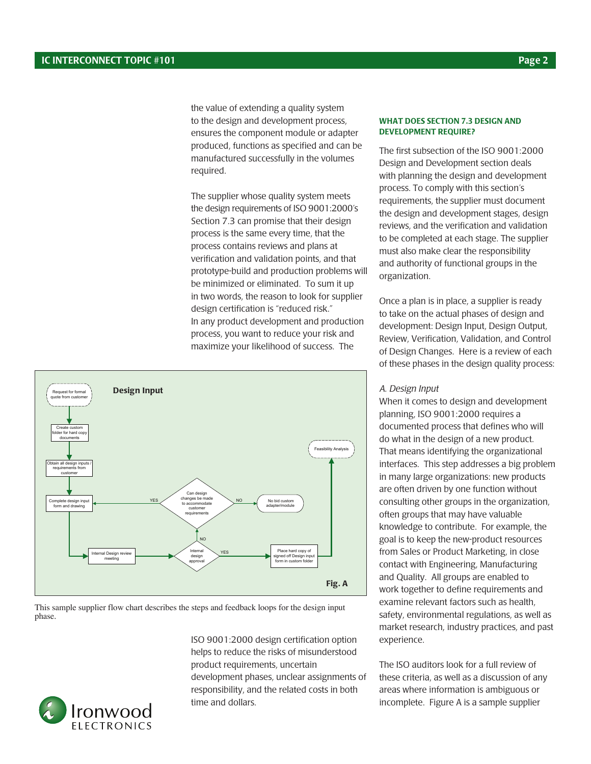the value of extending a quality system to the design and development process, ensures the component module or adapter produced, functions as specified and can be manufactured successfully in the volumes required.

The supplier whose quality system meets the design requirements of ISO 9001:2000's Section 7.3 can promise that their design process is the same every time, that the process contains reviews and plans at verification and validation points, and that prototype-build and production problems will be minimized or eliminated. To sum it up in two words, the reason to look for supplier design certification is "reduced risk." In any product development and production process, you want to reduce your risk and maximize your likelihood of success. The



This sample supplier flow chart describes the steps and feedback loops for the design input phase.

> ISO 9001:2000 design certification option helps to reduce the risks of misunderstood product requirements, uncertain development phases, unclear assignments of responsibility, and the related costs in both time and dollars.

#### WHAT DOES SECTION 7.3 DESIGN AND DEVELOPMENT REQUIRE?

The first subsection of the ISO 9001:2000 Design and Development section deals with planning the design and development process. To comply with this section's requirements, the supplier must document the design and development stages, design reviews, and the verification and validation to be completed at each stage. The supplier must also make clear the responsibility and authority of functional groups in the organization.

Once a plan is in place, a supplier is ready to take on the actual phases of design and development: Design Input, Design Output, Review, Verification, Validation, and Control of Design Changes. Here is a review of each of these phases in the design quality process:

### A. Design Input

When it comes to design and development planning, ISO 9001:2000 requires a documented process that defines who will do what in the design of a new product. That means identifying the organizational interfaces. This step addresses a big problem in many large organizations: new products are often driven by one function without consulting other groups in the organization, often groups that may have valuable knowledge to contribute. For example, the goal is to keep the new-product resources from Sales or Product Marketing, in close contact with Engineering, Manufacturing and Quality. All groups are enabled to work together to define requirements and examine relevant factors such as health, safety, environmental regulations, as well as market research, industry practices, and past experience.

The ISO auditors look for a full review of these criteria, as well as a discussion of any areas where information is ambiguous or incomplete. Figure A is a sample supplier

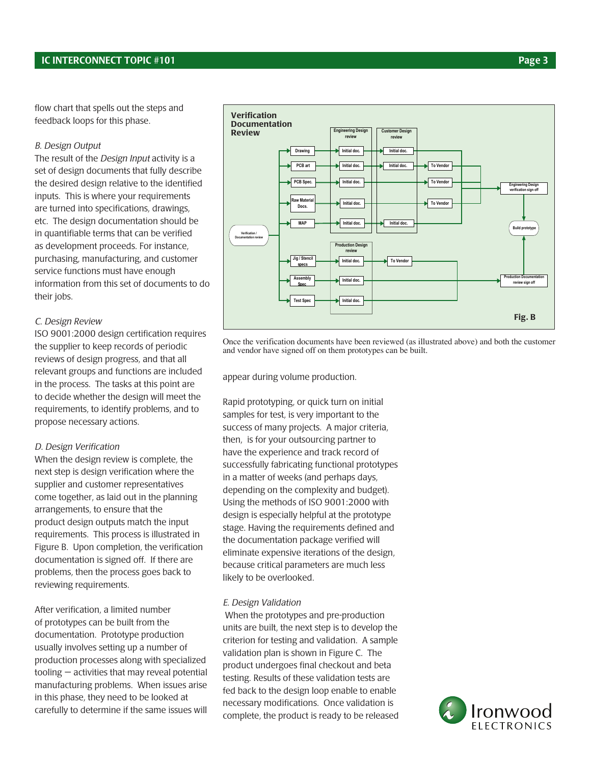flow chart that spells out the steps and feedback loops for this phase.

#### B. Design Output

The result of the Design Input activity is a set of design documents that fully describe the desired design relative to the identified inputs. This is where your requirements are turned into specifications, drawings, etc. The design documentation should be in quantifiable terms that can be verified as development proceeds. For instance, purchasing, manufacturing, and customer service functions must have enough information from this set of documents to do their jobs.

#### C. Design Review

ISO 9001:2000 design certification requires the supplier to keep records of periodic reviews of design progress, and that all relevant groups and functions are included in the process. The tasks at this point are to decide whether the design will meet the requirements, to identify problems, and to propose necessary actions.

#### D. Design Verification

When the design review is complete, the next step is design verification where the supplier and customer representatives come together, as laid out in the planning arrangements, to ensure that the product design outputs match the input requirements. This process is illustrated in Figure B. Upon completion, the verification documentation is signed off. If there are problems, then the process goes back to reviewing requirements.

After verification, a limited number of prototypes can be built from the documentation. Prototype production usually involves setting up a number of production processes along with specialized tooling — activities that may reveal potential manufacturing problems. When issues arise in this phase, they need to be looked at carefully to determine if the same issues will



Once the verification documents have been reviewed (as illustrated above) and both the customer and vendor have signed off on them prototypes can be built.

appear during volume production.

Rapid prototyping, or quick turn on initial samples for test, is very important to the success of many projects. A major criteria, then, is for your outsourcing partner to have the experience and track record of successfully fabricating functional prototypes in a matter of weeks (and perhaps days, depending on the complexity and budget). Using the methods of ISO 9001:2000 with design is especially helpful at the prototype stage. Having the requirements defined and the documentation package verified will eliminate expensive iterations of the design, because critical parameters are much less likely to be overlooked.

#### E. Design Validation

 When the prototypes and pre-production units are built, the next step is to develop the criterion for testing and validation. A sample validation plan is shown in Figure C. The product undergoes final checkout and beta testing. Results of these validation tests are fed back to the design loop enable to enable necessary modifications. Once validation is complete, the product is ready to be released